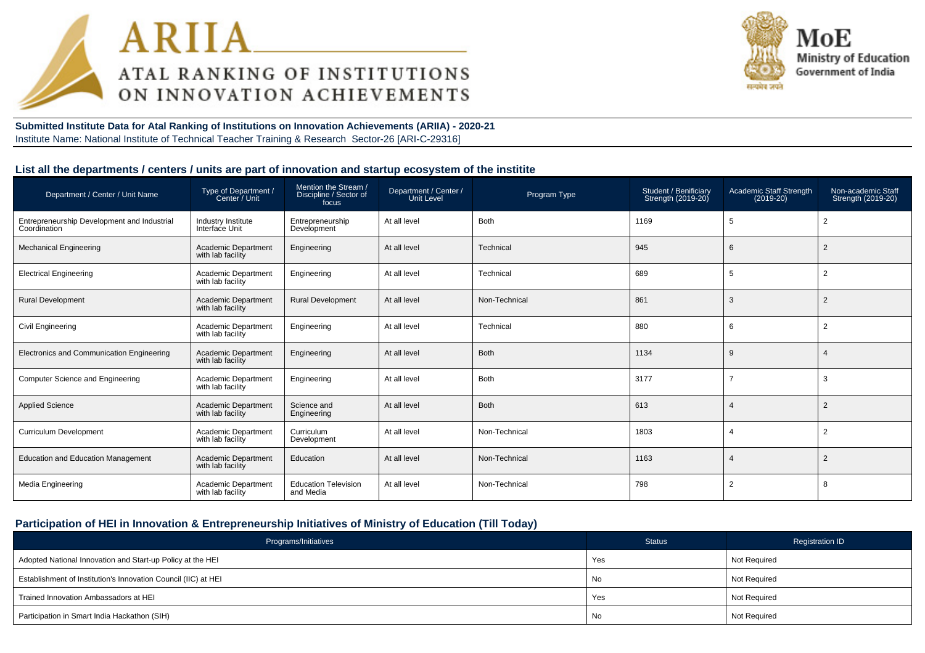



**Submitted Institute Data for Atal Ranking of Institutions on Innovation Achievements (ARIIA) - 2020-21**Institute Name: National Institute of Technical Teacher Training & Research Sector-26 [ARI-C-29316]

#### **List all the departments / centers / units are part of innovation and startup ecosystem of the institite**

| Department / Center / Unit Name                             | Type of Department /<br>Center / Unit           | Mention the Stream /<br>Discipline / Sector of<br>focus | Department / Center /<br>Unit Level | Program Type  | Student / Benificiary<br>Strength (2019-20) | Academic Staff Strength<br>$(2019-20)$ | Non-academic Staff<br>Strength (2019-20) |
|-------------------------------------------------------------|-------------------------------------------------|---------------------------------------------------------|-------------------------------------|---------------|---------------------------------------------|----------------------------------------|------------------------------------------|
| Entrepreneurship Development and Industrial<br>Coordination | Industry Institute<br>Interface Unit            | Entrepreneurship<br>Development                         | At all level                        | <b>Both</b>   | 1169                                        | 5                                      | $\overline{2}$                           |
| <b>Mechanical Engineering</b>                               | Academic Department<br>with lab facility        | Engineering                                             | At all level                        | Technical     | 945                                         | 6                                      | $\overline{2}$                           |
| <b>Electrical Engineering</b>                               | Academic Department<br>with lab facility        | Engineering                                             | At all level                        | Technical     | 689                                         | 5                                      | $\overline{2}$                           |
| <b>Rural Development</b>                                    | <b>Academic Department</b><br>with lab facility | <b>Rural Development</b>                                | At all level                        | Non-Technical | 861                                         | 3                                      | 2                                        |
| Civil Engineering                                           | Academic Department<br>with lab facility        | Engineering                                             | At all level                        | Technical     | 880                                         | 6                                      | 2                                        |
| Electronics and Communication Engineering                   | <b>Academic Department</b><br>with lab facility | Engineering                                             | At all level                        | Both          | 1134                                        | 9                                      |                                          |
| Computer Science and Engineering                            | <b>Academic Department</b><br>with lab facility | Engineering                                             | At all level                        | <b>Both</b>   | 3177                                        |                                        | 3                                        |
| <b>Applied Science</b>                                      | <b>Academic Department</b><br>with lab facility | Science and<br>Engineering                              | At all level                        | <b>Both</b>   | 613                                         |                                        | 2                                        |
| <b>Curriculum Development</b>                               | Academic Department<br>with lab facility        | Curriculum<br>Development                               | At all level                        | Non-Technical | 1803                                        |                                        | $\overline{2}$                           |
| <b>Education and Education Management</b>                   | Academic Department<br>with lab facility        | Education                                               | At all level                        | Non-Technical | 1163                                        |                                        | 2                                        |
| Media Engineering                                           | <b>Academic Department</b><br>with lab facility | <b>Education Television</b><br>and Media                | At all level                        | Non-Technical | 798                                         | $\overline{2}$                         | 8                                        |

# **Participation of HEI in Innovation & Entrepreneurship Initiatives of Ministry of Education (Till Today)**

| Programs/Initiatives                                           | <b>Status</b> | <b>Registration ID</b> |
|----------------------------------------------------------------|---------------|------------------------|
| Adopted National Innovation and Start-up Policy at the HEI     | Yes           | Not Required           |
| Establishment of Institution's Innovation Council (IIC) at HEI | No            | Not Required           |
| Trained Innovation Ambassadors at HEI                          | Yes           | Not Required           |
| Participation in Smart India Hackathon (SIH)                   | No            | Not Required           |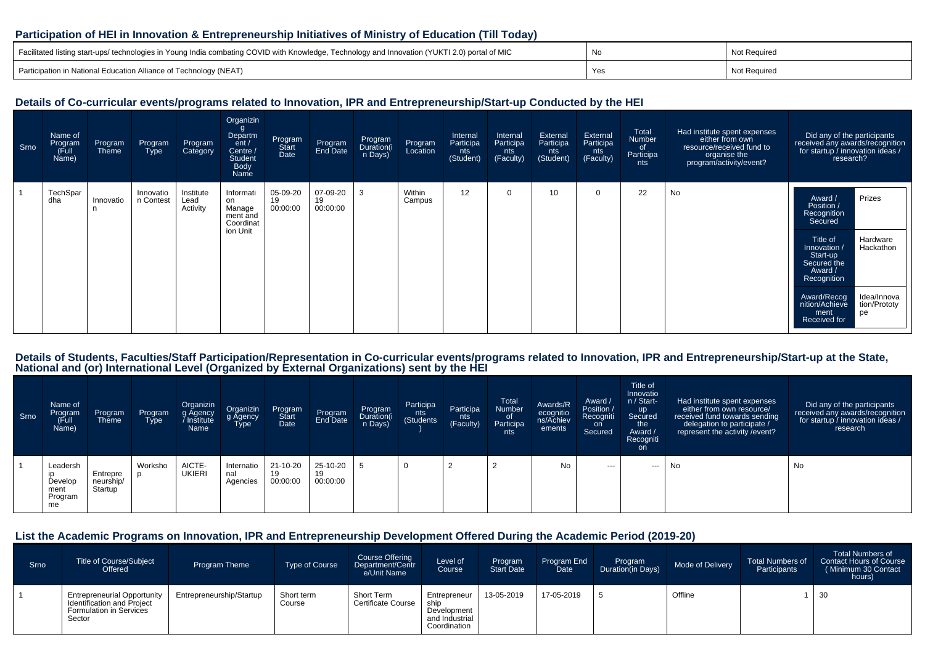#### **Participation of HEI in Innovation & Entrepreneurship Initiatives of Ministry of Education (Till Today)**

| Facilitated listing start-ups/ technologies in Young India combating COVID with Knowledge, Technology and Innovation (YUKTI 2.0) portal of MIC | No | Not Required |
|------------------------------------------------------------------------------------------------------------------------------------------------|----|--------------|
| Participation in National Education Alliance of Technology (NEAT)                                                                              |    | Not Required |

### **Details of Co-curricular events/programs related to Innovation, IPR and Entrepreneurship/Start-up Conducted by the HEI**

| Srno | Name of<br>Program<br>Full)<br>Name) | Program<br>Theme | Program<br><b>Type</b> | Program<br>Category           | Organizin<br>g<br>Departm<br>ent /<br>Centre /<br><b>Student</b><br>Body<br>Name | Program<br>Start<br>Date   | Program<br>End Date        | Program<br>Duration(i<br>n Days) | Program<br>Location | Internal<br>Participa<br>nts<br>(Student) | Internal<br>Participa<br>nts<br>(Faculty) | External<br>Participa<br>nts<br>(Student) | External<br>Participa<br>nts<br>(Faculty) | Total<br>Number<br><sub>of</sub><br>Participa<br>nts | Had institute spent expenses<br>either from own<br>resource/received fund to<br>organise the<br>program/activity/event? | Did any of the participants<br>received any awards/recognition<br>for startup / innovation ideas /<br>research?                                                                                                                                                 |
|------|--------------------------------------|------------------|------------------------|-------------------------------|----------------------------------------------------------------------------------|----------------------------|----------------------------|----------------------------------|---------------------|-------------------------------------------|-------------------------------------------|-------------------------------------------|-------------------------------------------|------------------------------------------------------|-------------------------------------------------------------------------------------------------------------------------|-----------------------------------------------------------------------------------------------------------------------------------------------------------------------------------------------------------------------------------------------------------------|
|      | TechSpar<br>dha                      | Innovatio        | Innovatio<br>n Contest | Institute<br>Lead<br>Activity | Informati<br>on<br>Manage<br>ment and<br>Coordinat<br>ion Unit                   | 05-09-20<br>19<br>00:00:00 | 07-09-20<br>19<br>00:00:00 | 3                                | Within<br>Campus    | 12                                        | $\Omega$                                  | 10                                        | $\Omega$                                  | 22                                                   | No                                                                                                                      | Prizes<br>Award /<br>Position /<br>Recognition<br>Secured<br>Title of<br>Hardware<br>Hackathon<br>Innovation<br>Start-up<br>Secured the<br>Award /<br>Recognition<br>Award/Recog<br>Idea/Innova<br>tion/Prototy<br>nition/Achieve<br>pe<br>ment<br>Received for |

# Details of Students, Faculties/Staff Participation/Representation in Co-curricular events/programs related to Innovation, IPR and Entrepreneurship/Start-up at the State,<br>National and (or) International Level (Organized by

| Srno | Name of<br>Program<br>Full)<br>Name)         | Program<br><b>Theme</b>          | Program<br><b>Type</b> | Organizin<br>g Agency<br>Institute /<br>Name | Organizin<br>g Agency<br>Type | Program<br><b>Start</b><br>Date | Program<br>End Date        | Program<br>Duration(i<br>n Days) | Participa<br>nts<br>Students) | Participa<br>nts<br>(Faculty) | Total<br>Number<br>0f<br>Participa<br>nts | Awards/R<br>ecognitio<br>ns/Achiev<br>ements | Award /<br>Position /<br>Recogniti<br>on<br>Secured | Title of<br>Innovatio<br>n / Start-<br>up<br>Secured<br>the<br>Award /<br>Recogniti<br>on. | Had institute spent expenses<br>either from own resource/<br>received fund towards sending<br>delegation to participate /<br>represent the activity / event? | Did any of the participants<br>received any awards/recognition<br>for startup / innovation ideas /<br>research |
|------|----------------------------------------------|----------------------------------|------------------------|----------------------------------------------|-------------------------------|---------------------------------|----------------------------|----------------------------------|-------------------------------|-------------------------------|-------------------------------------------|----------------------------------------------|-----------------------------------------------------|--------------------------------------------------------------------------------------------|--------------------------------------------------------------------------------------------------------------------------------------------------------------|----------------------------------------------------------------------------------------------------------------|
|      | Leadersh<br>Develop<br>ment<br>Program<br>me | Entrepre<br>neurship/<br>Startup | Worksho                | AICTE-<br><b>UKIERI</b>                      | Internatio<br>nal<br>Agencies | 21-10-20<br>19<br>00:00:00      | 25-10-20<br>19<br>00:00:00 |                                  | <b>U</b>                      | ▵                             |                                           | No                                           | $\sim$ $\sim$                                       | ---                                                                                        | No                                                                                                                                                           | No                                                                                                             |

#### **List the Academic Programs on Innovation, IPR and Entrepreneurship Development Offered During the Academic Period (2019-20)**

| Srno | <b>Title of Course/Subject</b><br>Offered                                                             | Program Theme            | <b>Type of Course</b> | Course Offering<br>Department/Centr<br>e/Unit Name | Level of<br>Course                                                    | Program<br><b>Start Date</b> | Program End<br>Date | Program<br>Duration(in Days) | Mode of Delivery | <b>Total Numbers of</b><br>Participants | <b>Total Numbers of</b><br><b>Contact Hours of Course</b><br>(Minimum 30 Contact<br>hours) <b>\</b> |
|------|-------------------------------------------------------------------------------------------------------|--------------------------|-----------------------|----------------------------------------------------|-----------------------------------------------------------------------|------------------------------|---------------------|------------------------------|------------------|-----------------------------------------|-----------------------------------------------------------------------------------------------------|
|      | <b>Entrepreneurial Opportunity</b><br>Identification and Project<br>Formulation in Services<br>Sector | Entrepreneurship/Startup | Short term<br>Course  | Short Term<br><b>Certificate Course</b>            | Entrepreneur<br>ship<br>Development<br>and Industrial<br>Coordination | 13-05-2019                   | 17-05-2019          |                              | Offline          |                                         | 30                                                                                                  |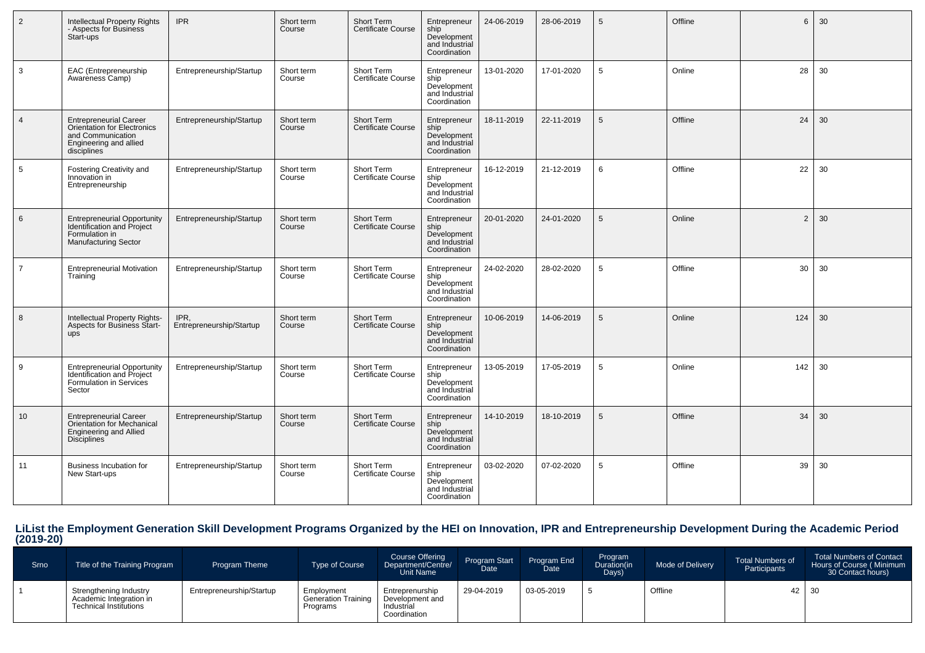| 2              | <b>Intellectual Property Rights</b><br>- Aspects for Business<br>Start-ups                                                 | <b>IPR</b>                       | Short term<br>Course | Short Term<br>Certificate Course               | Entrepreneur<br>ship<br>Development<br>and Industrial<br>Coordination | 24-06-2019 | 28-06-2019 | 5               | Offline | 6              | 30 |
|----------------|----------------------------------------------------------------------------------------------------------------------------|----------------------------------|----------------------|------------------------------------------------|-----------------------------------------------------------------------|------------|------------|-----------------|---------|----------------|----|
| 3              | EAC (Entrepreneurship<br>Awareness Camp)                                                                                   | Entrepreneurship/Startup         | Short term<br>Course | Short Term<br>Certificate Course               | Entrepreneur<br>ship<br>Development<br>and Industrial<br>Coordination | 13-01-2020 | 17-01-2020 | $5\overline{5}$ | Online  | 28             | 30 |
| $\overline{4}$ | <b>Entrepreneurial Career</b><br>Orientation for Electronics<br>and Communication<br>Engineering and allied<br>disciplines | Entrepreneurship/Startup         | Short term<br>Course | Short Term<br>Certificate Course               | Entrepreneur<br>ship<br>Development<br>and Industrial<br>Coordination | 18-11-2019 | 22-11-2019 | 5               | Offline | 24             | 30 |
| 5              | Fostering Creativity and<br>Innovation in<br>Entrepreneurship                                                              | Entrepreneurship/Startup         | Short term<br>Course | Short Term<br><b>Certificate Course</b>        | Entrepreneur<br>ship<br>Development<br>and Industrial<br>Coordination | 16-12-2019 | 21-12-2019 | 6               | Offline | 22             | 30 |
| 6              | <b>Entrepreneurial Opportunity</b><br><b>Identification and Project</b><br>Formulation in<br><b>Manufacturing Sector</b>   | Entrepreneurship/Startup         | Short term<br>Course | Short Term<br>Certificate Course               | Entrepreneur<br>ship<br>Development<br>and Industrial<br>Coordination | 20-01-2020 | 24-01-2020 | 5               | Online  | $\overline{2}$ | 30 |
| $\overline{7}$ | <b>Entrepreneurial Motivation</b><br>Training                                                                              | Entrepreneurship/Startup         | Short term<br>Course | Short Term<br><b>Certificate Course</b>        | Entrepreneur<br>ship<br>Development<br>and Industrial<br>Coordination | 24-02-2020 | 28-02-2020 | 5               | Offline | 30             | 30 |
| 8              | Intellectual Property Rights-<br><b>Aspects for Business Start-</b><br>ups                                                 | IPR,<br>Entrepreneurship/Startup | Short term<br>Course | <b>Short Term</b><br><b>Certificate Course</b> | Entrepreneur<br>ship<br>Development<br>and Industrial<br>Coordination | 10-06-2019 | 14-06-2019 | 5               | Online  | 124            | 30 |
| 9              | <b>Entrepreneurial Opportunity</b><br><b>Identification and Project</b><br>Formulation in Services<br>Sector               | Entrepreneurship/Startup         | Short term<br>Course | Short Term<br><b>Certificate Course</b>        | Entrepreneur<br>ship<br>Development<br>and Industrial<br>Coordination | 13-05-2019 | 17-05-2019 | 5               | Online  | 142            | 30 |
| 10             | <b>Entrepreneurial Career</b><br>Orientation for Mechanical<br><b>Engineering and Allied</b><br><b>Disciplines</b>         | Entrepreneurship/Startup         | Short term<br>Course | <b>Short Term</b><br><b>Certificate Course</b> | Entrepreneur<br>ship<br>Development<br>and Industrial<br>Coordination | 14-10-2019 | 18-10-2019 | 5               | Offline | 34             | 30 |
| 11             | Business Incubation for<br>New Start-ups                                                                                   | Entrepreneurship/Startup         | Short term<br>Course | Short Term<br><b>Certificate Course</b>        | Entrepreneur<br>ship<br>Development<br>and Industrial<br>Coordination | 03-02-2020 | 07-02-2020 | 5               | Offline | 39             | 30 |

# **LiList the Employment Generation Skill Development Programs Organized by the HEI on Innovation, IPR and Entrepreneurship Development During the Academic Period (2019-20)**

| Srno | Title of the Training Program                                                      | <b>Program Theme</b>     | <b>Type of Course</b>                                | <b>Course Offering</b><br>Department/Centre/<br>Unit Name        | Program Start<br>Date | Program End<br>Date | Program<br>Duration(in<br>Days) | Mode of Delivery | <b>Total Numbers of</b><br>Participants | <b>Total Numbers of Contact</b><br>Hours of Course (Minimum<br>30 Contact hours) |
|------|------------------------------------------------------------------------------------|--------------------------|------------------------------------------------------|------------------------------------------------------------------|-----------------------|---------------------|---------------------------------|------------------|-----------------------------------------|----------------------------------------------------------------------------------|
|      | Strenathening Industry<br>Academic Integration in<br><b>Technical Institutions</b> | Entrepreneurship/Startup | Employment<br><b>Generation Training</b><br>Programs | Entreprenurship<br>Development and<br>Industrial<br>Coordination | 29-04-2019            | 03-05-2019          |                                 | Offline          | 42 30                                   |                                                                                  |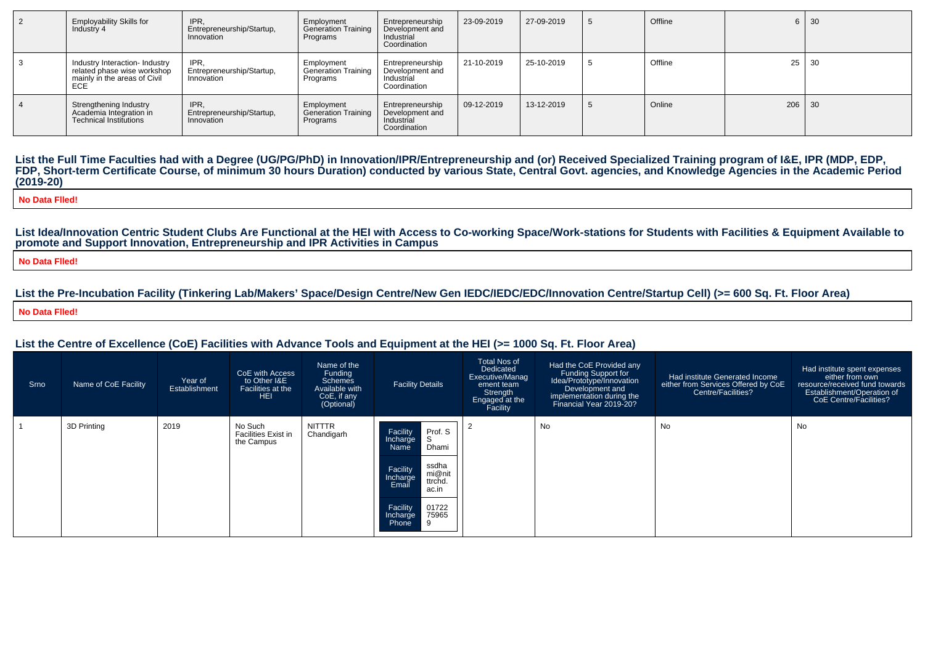| $\vert$ 2 | <b>Employability Skills for</b><br>Industry 4                                                        | IPR.<br>Entrepreneurship/Startup,<br>Innovation | Employment<br>Generation Training<br>Programs        | Entrepreneurship<br>Development and<br>Industrial<br>Coordination | 23-09-2019 | 27-09-2019 |      | Offline |       | $6 \mid 30$ |
|-----------|------------------------------------------------------------------------------------------------------|-------------------------------------------------|------------------------------------------------------|-------------------------------------------------------------------|------------|------------|------|---------|-------|-------------|
|           | Industry Interaction- Industry<br>related phase wise workshop<br>mainly in the areas of Civil<br>ECE | IPR.<br>Entrepreneurship/Startup,<br>Innovation | Employment<br><b>Generation Training</b><br>Programs | Entrepreneurship<br>Development and<br>Industrial<br>Coordination | 21-10-2019 | 25-10-2019 |      | Offline | 25 30 |             |
|           | Strengthening Industry<br>Academia Integration in<br><b>Technical Institutions</b>                   | IPR.<br>Entrepreneurship/Startup,<br>Innovation | Employment<br><b>Generation Training</b><br>Programs | Entrepreneurship<br>Development and<br>Industrial<br>Coordination | 09-12-2019 | 13-12-2019 | - 33 | Online  | 206   | $\vert$ 30  |

List the Full Time Faculties had with a Degree (UG/PG/PhD) in Innovation/IPR/Entrepreneurship and (or) Received Specialized Training program of I&E, IPR (MDP, EDP,<br>FDP, Short-term Certificate Course, of minimum 30 hours Du **(2019-20)**

**No Data Flled!**

**List Idea/Innovation Centric Student Clubs Are Functional at the HEI with Access to Co-working Space/Work-stations for Students with Facilities & Equipment Available topromote and Support Innovation, Entrepreneurship and IPR Activities in Campus**

**No Data Flled!**

**List the Pre-Incubation Facility (Tinkering Lab/Makers' Space/Design Centre/New Gen IEDC/IEDC/EDC/Innovation Centre/Startup Cell) (>= 600 Sq. Ft. Floor Area)No Data Flled!**

#### **List the Centre of Excellence (CoE) Facilities with Advance Tools and Equipment at the HEI (>= 1000 Sq. Ft. Floor Area)**

| Srno | Name of CoE Facility | Year of<br><b>Establishment</b> | CoE with Access<br>to Other I&E<br>Facilities at the<br>HEI. | Name of the<br>Funding<br>Schemes<br>Available with<br>CoE, if any<br>(Optional) | <b>Facility Details</b>                                                                                                                                                                 | <b>Total Nos of</b><br>Dedicated<br>Executive/Manag<br>ement team<br>Strength<br>Engaged at the<br>Facility | Had the CoE Provided any<br>Funding Support for<br>Idea/Prototype/Innovation<br>Development and<br>implementation during the<br>Financial Year 2019-20? | Had institute Generated Income<br>either from Services Offered by CoE<br>Centre/Facilities? | Had institute spent expenses<br>either from own<br>resource/received fund towards<br>Establishment/Operation of<br>CoE Centre/Facilities? |
|------|----------------------|---------------------------------|--------------------------------------------------------------|----------------------------------------------------------------------------------|-----------------------------------------------------------------------------------------------------------------------------------------------------------------------------------------|-------------------------------------------------------------------------------------------------------------|---------------------------------------------------------------------------------------------------------------------------------------------------------|---------------------------------------------------------------------------------------------|-------------------------------------------------------------------------------------------------------------------------------------------|
|      | 3D Printing          | 2019                            | No Such<br><b>Facilities Exist in</b><br>the Campus          | NITTTR<br>Chandigarh                                                             | Prof. S<br>Facility<br>S<br>Incharge<br>Dhami<br>Name<br>ssdha<br>Facility<br>mi@nit<br>Incharge<br>ttrchd.<br>Email<br>ac.in<br>01722<br>Facility<br>75965<br>Incharge<br>Phone<br>l 9 |                                                                                                             | No                                                                                                                                                      | No                                                                                          | No                                                                                                                                        |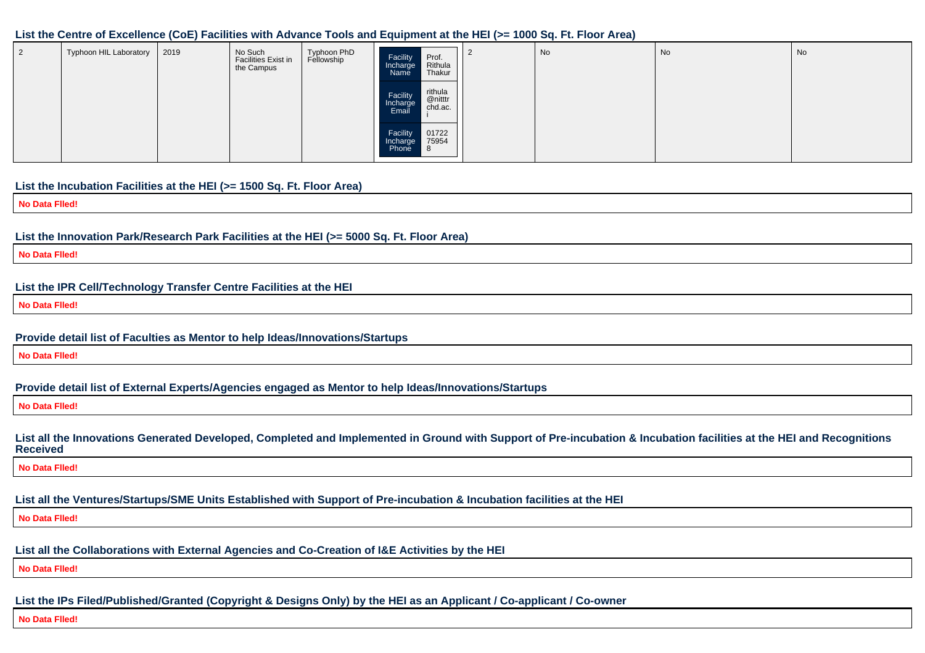#### **List the Centre of Excellence (CoE) Facilities with Advance Tools and Equipment at the HEI (>= 1000 Sq. Ft. Floor Area)**

| Typhoon HIL Laboratory | 2019 | No Such<br>Facilities Exist in<br>the Campus | Typhoon PhD<br>Fellowship | Prof.<br>Rithula<br>Facility<br>Incharge<br>Thakur<br>Name               | $\epsilon$ | No | No | No |
|------------------------|------|----------------------------------------------|---------------------------|--------------------------------------------------------------------------|------------|----|----|----|
|                        |      |                                              |                           | rithula<br>Facility<br>@nitttr<br>Incharge<br>chd.ac.<br>Email           |            |    |    |    |
|                        |      |                                              |                           | 01722<br>Facility<br>75954<br>Incharge<br><b>Phone</b><br>$\blacksquare$ |            |    |    |    |

### **List the Incubation Facilities at the HEI (>= 1500 Sq. Ft. Floor Area)**

**No Data Flled!**

#### **List the Innovation Park/Research Park Facilities at the HEI (>= 5000 Sq. Ft. Floor Area)**

**No Data Flled!**

#### **List the IPR Cell/Technology Transfer Centre Facilities at the HEI**

**No Data Flled!**

#### **Provide detail list of Faculties as Mentor to help Ideas/Innovations/Startups**

**No Data Flled!**

#### **Provide detail list of External Experts/Agencies engaged as Mentor to help Ideas/Innovations/Startups**

**No Data Flled!**

#### **List all the Innovations Generated Developed, Completed and Implemented in Ground with Support of Pre-incubation & Incubation facilities at the HEI and RecognitionsReceived**

**No Data Flled!**

# **List all the Ventures/Startups/SME Units Established with Support of Pre-incubation & Incubation facilities at the HEI**

**No Data Flled!**

#### **List all the Collaborations with External Agencies and Co-Creation of I&E Activities by the HEI**

**No Data Flled!**

# **List the IPs Filed/Published/Granted (Copyright & Designs Only) by the HEI as an Applicant / Co-applicant / Co-owner**

**No Data Flled!**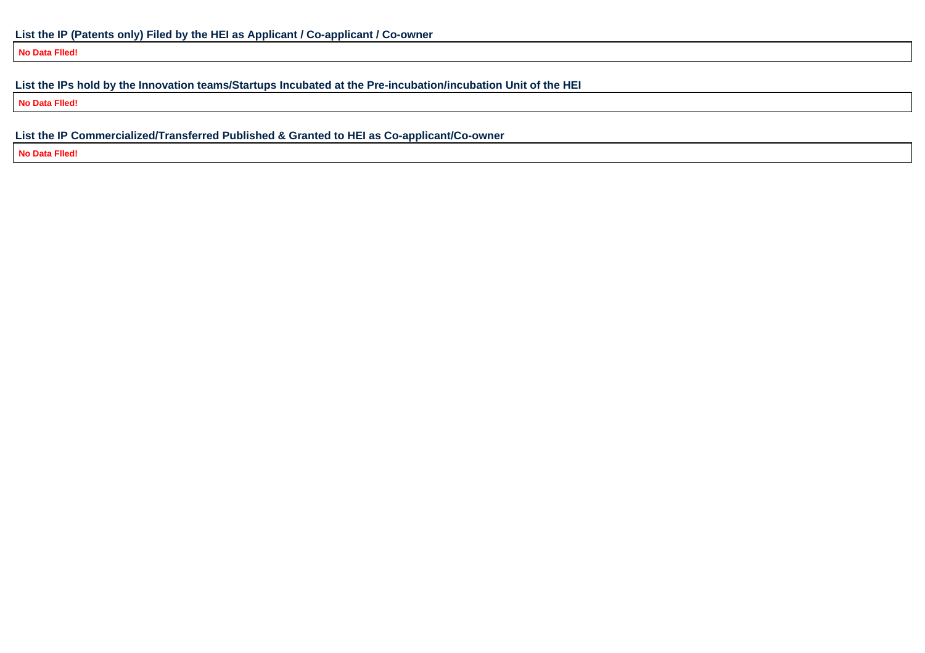**No Data Flled!**

# **List the IPs hold by the Innovation teams/Startups Incubated at the Pre-incubation/incubation Unit of the HEI**

**No Data Flled!**

**List the IP Commercialized/Transferred Published & Granted to HEI as Co-applicant/Co-owner**

**No Data Flled!**